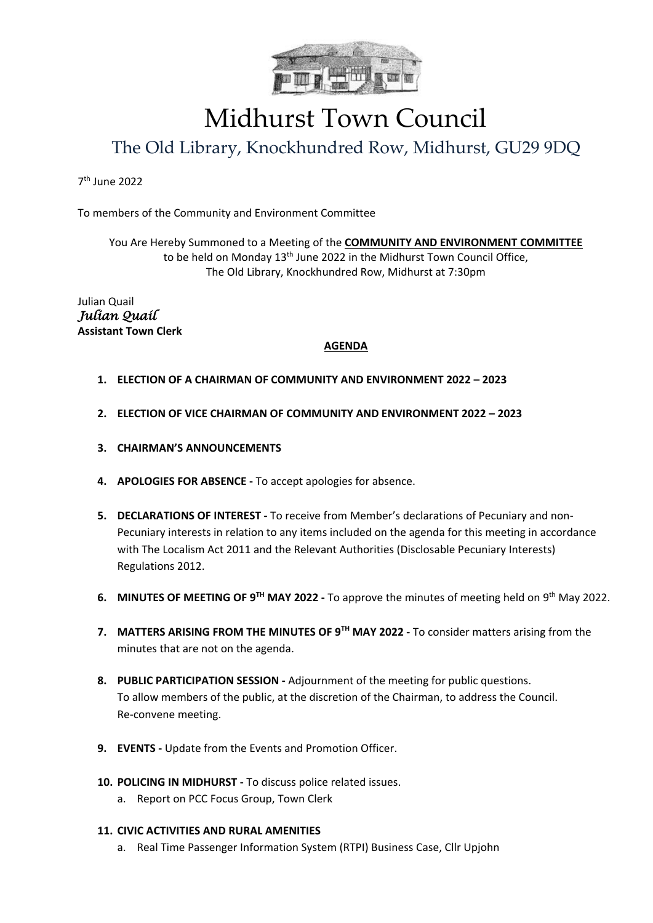

## Midhurst Town Council

### The Old Library, Knockhundred Row, Midhurst, GU29 9DQ

7 th June 2022

To members of the Community and Environment Committee

You Are Hereby Summoned to a Meeting of the **COMMUNITY AND ENVIRONMENT COMMITTEE** to be held on Monday 13<sup>th</sup> June 2022 in the Midhurst Town Council Office, The Old Library, Knockhundred Row, Midhurst at 7:30pm

Julian Quail *Julian Quail*  **Assistant Town Clerk**

#### **AGENDA**

- **1. ELECTION OF A CHAIRMAN OF COMMUNITY AND ENVIRONMENT 2022 – 2023**
- **2. ELECTION OF VICE CHAIRMAN OF COMMUNITY AND ENVIRONMENT 2022 – 2023**
- **3. CHAIRMAN'S ANNOUNCEMENTS**
- **4. APOLOGIES FOR ABSENCE -** To accept apologies for absence.
- **5. DECLARATIONS OF INTEREST -** To receive from Member's declarations of Pecuniary and non-Pecuniary interests in relation to any items included on the agenda for this meeting in accordance with The Localism Act 2011 and the Relevant Authorities (Disclosable Pecuniary Interests) Regulations 2012.
- 6. MINUTES OF MEETING OF 9<sup>TH</sup> MAY 2022 To approve the minutes of meeting held on 9<sup>th</sup> May 2022.
- **7. MATTERS ARISING FROM THE MINUTES OF 9<sup>TH</sup> MAY 2022 To consider matters arising from the** minutes that are not on the agenda.
- **8. PUBLIC PARTICIPATION SESSION -** Adjournment of the meeting for public questions. To allow members of the public, at the discretion of the Chairman, to address the Council. Re-convene meeting.
- **9. EVENTS -** Update from the Events and Promotion Officer.
- **10. POLICING IN MIDHURST -** To discuss police related issues.
	- a. Report on PCC Focus Group, Town Clerk
- **11. CIVIC ACTIVITIES AND RURAL AMENITIES**
	- a. Real Time Passenger Information System (RTPI) Business Case, Cllr Upjohn